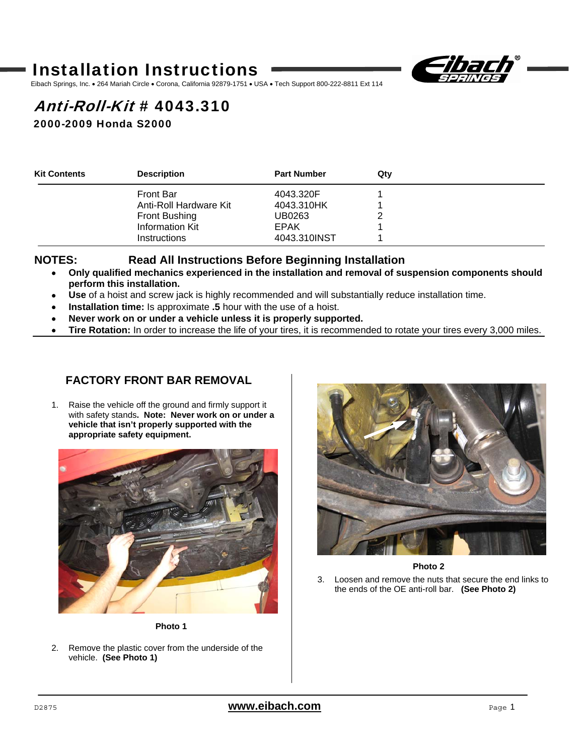# Installation Instructions



Eibach Springs, Inc. . 264 Mariah Circle . Corona, California 92879-1751 . USA . Tech Support 800-222-8811 Ext 114

# Anti-Roll-Kit # 4043.310

2000-2009 Honda S2000

| <b>Kit Contents</b> | <b>Description</b>     | <b>Part Number</b> | Qtv |  |
|---------------------|------------------------|--------------------|-----|--|
|                     | <b>Front Bar</b>       | 4043.320F          |     |  |
|                     | Anti-Roll Hardware Kit | 4043.310HK         |     |  |
|                     | Front Bushing          | UB0263             |     |  |
|                     | Information Kit        | EPAK               |     |  |
|                     | <b>Instructions</b>    | 4043.310INST       |     |  |

### **NOTES: Read All Instructions Before Beginning Installation**

- **Only qualified mechanics experienced in the installation and removal of suspension components should perform this installation.**
- **Use** of a hoist and screw jack is highly recommended and will substantially reduce installation time.
- **Installation time:** Is approximate **.5** hour with the use of a hoist.
- **Never work on or under a vehicle unless it is properly supported.**
- **Tire Rotation:** In order to increase the life of your tires, it is recommended to rotate your tires every 3,000 miles.

### **FACTORY FRONT BAR REMOVAL**

1. Raise the vehicle off the ground and firmly support it with safety stands**. Note: Never work on or under a vehicle that isn't properly supported with the appropriate safety equipment.** 



**Photo 1** 

2. Remove the plastic cover from the underside of the vehicle. **(See Photo 1)**



**Photo 2** 

3. Loosen and remove the nuts that secure the end links to the ends of the OE anti-roll bar. **(See Photo 2)**